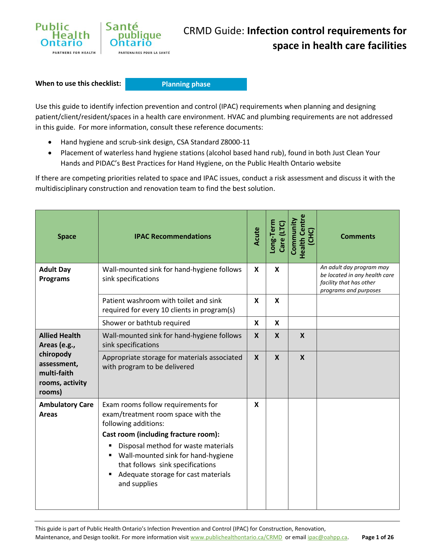

**When to use this checklist:**

**Planning phase**

Use this guide to identify infection prevention and control (IPAC) requirements when planning and designing patient/client/resident/spaces in a health care environment. HVAC and plumbing requirements are not addressed in this guide. For more information, consult these reference documents:

- Hand hygiene and scrub-sink design, CSA Standard Z8000-11
- Placement of waterless hand hygiene stations (alcohol based hand rub), found in both Just Clean Your Hands and PIDAC's Best Practices for Hand Hygiene, on the Public Health Ontario website

If there are competing priorities related to space and IPAC issues, conduct a risk assessment and discuss it with the multidisciplinary construction and renovation team to find the best solution.

| <b>Space</b>                                                         | <b>IPAC Recommendations</b>                                                                                                                                                                                                                                                                                           | Acute            | Long-Term<br>Care (LTC) | <b>Health Centre</b><br>Community<br>(CHC) | <b>Comments</b>                                                                                               |
|----------------------------------------------------------------------|-----------------------------------------------------------------------------------------------------------------------------------------------------------------------------------------------------------------------------------------------------------------------------------------------------------------------|------------------|-------------------------|--------------------------------------------|---------------------------------------------------------------------------------------------------------------|
| <b>Adult Day</b><br><b>Programs</b>                                  | Wall-mounted sink for hand-hygiene follows<br>sink specifications                                                                                                                                                                                                                                                     | X                | X                       |                                            | An adult day program may<br>be located in any health care<br>facility that has other<br>programs and purposes |
|                                                                      | Patient washroom with toilet and sink<br>required for every 10 clients in program(s)                                                                                                                                                                                                                                  | X                | X                       |                                            |                                                                                                               |
|                                                                      | Shower or bathtub required                                                                                                                                                                                                                                                                                            | X                | X                       |                                            |                                                                                                               |
| <b>Allied Health</b><br>Areas (e.g.,                                 | Wall-mounted sink for hand-hygiene follows<br>sink specifications                                                                                                                                                                                                                                                     | $\boldsymbol{x}$ | $\mathbf x$             | $\boldsymbol{X}$                           |                                                                                                               |
| chiropody<br>assessment,<br>multi-faith<br>rooms, activity<br>rooms) | Appropriate storage for materials associated<br>with program to be delivered                                                                                                                                                                                                                                          | $\mathbf{x}$     | $\mathbf{x}$            | $\mathbf{x}$                               |                                                                                                               |
| <b>Ambulatory Care</b><br><b>Areas</b>                               | Exam rooms follow requirements for<br>exam/treatment room space with the<br>following additions:<br>Cast room (including fracture room):<br>Disposal method for waste materials<br>٠<br>Wall-mounted sink for hand-hygiene<br>that follows sink specifications<br>Adequate storage for cast materials<br>and supplies | $\mathbf{x}$     |                         |                                            |                                                                                                               |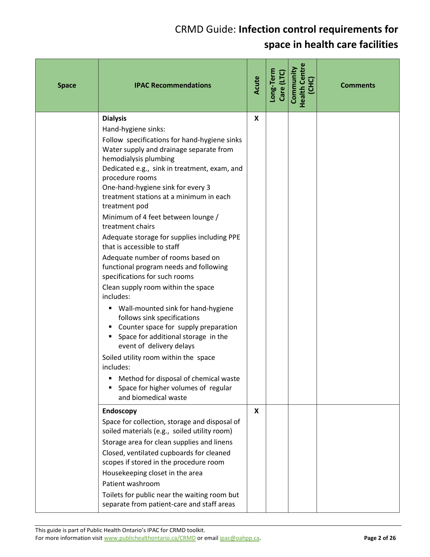| <b>Space</b> | <b>IPAC Recommendations</b>                                                                                                                                                                                                                                                                                                                                                                                                                                                                                                                                                                                                                                                                                                                                                                                                                                                                                                                                                                      | Acute | Long-Term<br>Care (LTC) | <b>Health Centre</b><br>Community<br><b>UHC</b> | <b>Comments</b> |
|--------------|--------------------------------------------------------------------------------------------------------------------------------------------------------------------------------------------------------------------------------------------------------------------------------------------------------------------------------------------------------------------------------------------------------------------------------------------------------------------------------------------------------------------------------------------------------------------------------------------------------------------------------------------------------------------------------------------------------------------------------------------------------------------------------------------------------------------------------------------------------------------------------------------------------------------------------------------------------------------------------------------------|-------|-------------------------|-------------------------------------------------|-----------------|
|              | <b>Dialysis</b><br>Hand-hygiene sinks:<br>Follow specifications for hand-hygiene sinks<br>Water supply and drainage separate from<br>hemodialysis plumbing<br>Dedicated e.g., sink in treatment, exam, and<br>procedure rooms<br>One-hand-hygiene sink for every 3<br>treatment stations at a minimum in each<br>treatment pod<br>Minimum of 4 feet between lounge /<br>treatment chairs<br>Adequate storage for supplies including PPE<br>that is accessible to staff<br>Adequate number of rooms based on<br>functional program needs and following<br>specifications for such rooms<br>Clean supply room within the space<br>includes:<br>Wall-mounted sink for hand-hygiene<br>٠<br>follows sink specifications<br>Counter space for supply preparation<br>٠<br>Space for additional storage in the<br>event of delivery delays<br>Soiled utility room within the space<br>includes:<br>Method for disposal of chemical waste<br>Space for higher volumes of regular<br>and biomedical waste | X     |                         |                                                 |                 |
|              | Endoscopy<br>Space for collection, storage and disposal of<br>soiled materials (e.g., soiled utility room)<br>Storage area for clean supplies and linens<br>Closed, ventilated cupboards for cleaned<br>scopes if stored in the procedure room<br>Housekeeping closet in the area<br>Patient washroom<br>Toilets for public near the waiting room but<br>separate from patient-care and staff areas                                                                                                                                                                                                                                                                                                                                                                                                                                                                                                                                                                                              | X     |                         |                                                 |                 |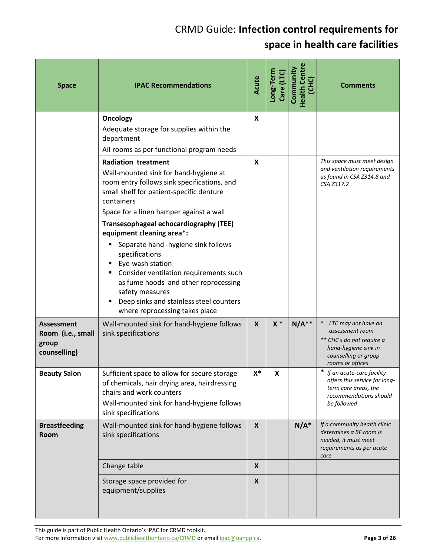| <b>Space</b>                                                    | <b>IPAC Recommendations</b>                                                                                                                                                                                                                                                                                                                                                                                                                                                                                                                                   | Acute        | Long-Term<br>Care (LTC) | <b>Health Centre</b><br>Community<br>(CHC) | <b>Comments</b>                                                                                                                         |
|-----------------------------------------------------------------|---------------------------------------------------------------------------------------------------------------------------------------------------------------------------------------------------------------------------------------------------------------------------------------------------------------------------------------------------------------------------------------------------------------------------------------------------------------------------------------------------------------------------------------------------------------|--------------|-------------------------|--------------------------------------------|-----------------------------------------------------------------------------------------------------------------------------------------|
|                                                                 | <b>Oncology</b><br>Adequate storage for supplies within the<br>department<br>All rooms as per functional program needs                                                                                                                                                                                                                                                                                                                                                                                                                                        | X            |                         |                                            |                                                                                                                                         |
|                                                                 | <b>Radiation treatment</b><br>Wall-mounted sink for hand-hygiene at<br>room entry follows sink specifications, and<br>small shelf for patient-specific denture<br>containers<br>Space for a linen hamper against a wall<br>Transesophageal echocardiography (TEE)<br>equipment cleaning area*:<br>Separate hand -hygiene sink follows<br>specifications<br>Eye-wash station<br>Consider ventilation requirements such<br>as fume hoods and other reprocessing<br>safety measures<br>Deep sinks and stainless steel counters<br>where reprocessing takes place | X            |                         |                                            | This space must meet design<br>and ventilation requirements<br>as found in CSA Z314.8 and<br>CSA Z317.2                                 |
| <b>Assessment</b><br>Room (i.e., small<br>group<br>counselling) | Wall-mounted sink for hand-hygiene follows<br>sink specifications                                                                                                                                                                                                                                                                                                                                                                                                                                                                                             | X            | $x *$                   | $N/A**$                                    | LTC may not have an<br>assessment room<br>** CHC s do not require a<br>hand-hygiene sink in<br>counselling or group<br>rooms or offices |
| <b>Beauty Salon</b>                                             | Sufficient space to allow for secure storage<br>of chemicals, hair drying area, hairdressing<br>chairs and work counters<br>Wall-mounted sink for hand-hygiene follows<br>sink specifications                                                                                                                                                                                                                                                                                                                                                                 | $X^*$        | X                       |                                            | ∗<br>If an acute-care facility<br>offers this service for long-<br>term care areas, the<br>recommendations should<br>be followed        |
| <b>Breastfeeding</b><br>Room                                    | Wall-mounted sink for hand-hygiene follows<br>sink specifications                                                                                                                                                                                                                                                                                                                                                                                                                                                                                             | $\mathsf{x}$ |                         | $N/A^*$                                    | If a community health clinic<br>determines a BF room is<br>needed, it must meet<br>requirements as per acute<br>care                    |
|                                                                 | Change table                                                                                                                                                                                                                                                                                                                                                                                                                                                                                                                                                  | X            |                         |                                            |                                                                                                                                         |
|                                                                 | Storage space provided for<br>equipment/supplies                                                                                                                                                                                                                                                                                                                                                                                                                                                                                                              | X            |                         |                                            |                                                                                                                                         |

This guide is part of Public Health Ontario's IPAC for CRMD toolkit. For more information visit www.publichealthontario.ca/CRMD or email ipac@oahpp.ca. **Page 3** of 26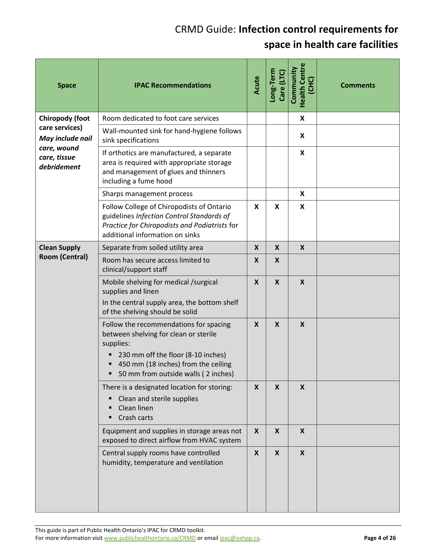| <b>Space</b>                               | <b>IPAC Recommendations</b>                                                                                                                                                                                      | Acute            | Long-Term<br>Care (LTC) | <b>Health Centre</b><br>Community<br>(CHC) | <b>Comments</b> |
|--------------------------------------------|------------------------------------------------------------------------------------------------------------------------------------------------------------------------------------------------------------------|------------------|-------------------------|--------------------------------------------|-----------------|
| <b>Chiropody (foot</b>                     | Room dedicated to foot care services                                                                                                                                                                             |                  |                         | X                                          |                 |
| care services)<br>May include nail         | Wall-mounted sink for hand-hygiene follows<br>sink specifications                                                                                                                                                |                  |                         | X                                          |                 |
| care, wound<br>care, tissue<br>debridement | If orthotics are manufactured, a separate<br>area is required with appropriate storage<br>and management of glues and thinners<br>including a fume hood                                                          |                  |                         | $\boldsymbol{\mathsf{X}}$                  |                 |
|                                            | Sharps management process                                                                                                                                                                                        |                  |                         | X                                          |                 |
|                                            | Follow College of Chiropodists of Ontario<br>guidelines Infection Control Standards of<br>Practice for Chiropodists and Podiatrists for<br>additional information on sinks                                       | $\mathbf{x}$     | X                       | X                                          |                 |
| <b>Clean Supply</b>                        | Separate from soiled utility area                                                                                                                                                                                | $\boldsymbol{X}$ | $\boldsymbol{X}$        | $\boldsymbol{X}$                           |                 |
| <b>Room (Central)</b>                      | Room has secure access limited to<br>clinical/support staff                                                                                                                                                      | $\boldsymbol{X}$ | $\boldsymbol{X}$        |                                            |                 |
|                                            | Mobile shelving for medical /surgical<br>supplies and linen<br>In the central supply area, the bottom shelf<br>of the shelving should be solid                                                                   | $\boldsymbol{X}$ | $\boldsymbol{X}$        | $\boldsymbol{X}$                           |                 |
|                                            | Follow the recommendations for spacing<br>between shelving for clean or sterile<br>supplies:<br>230 mm off the floor (8-10 inches)<br>450 mm (18 inches) from the ceiling<br>50 mm from outside walls (2 inches) | $\boldsymbol{X}$ | $\boldsymbol{X}$        | $\boldsymbol{X}$                           |                 |
|                                            | There is a designated location for storing:<br>Clean and sterile supplies<br>٠<br>Clean linen<br>Crash carts                                                                                                     | $\mathsf{X}$     | $\boldsymbol{X}$        | $\mathsf{x}$                               |                 |
|                                            | Equipment and supplies in storage areas not<br>exposed to direct airflow from HVAC system                                                                                                                        | $\boldsymbol{X}$ | $\boldsymbol{X}$        | $\boldsymbol{X}$                           |                 |
|                                            | Central supply rooms have controlled<br>humidity, temperature and ventilation                                                                                                                                    | $\boldsymbol{x}$ | X                       | X                                          |                 |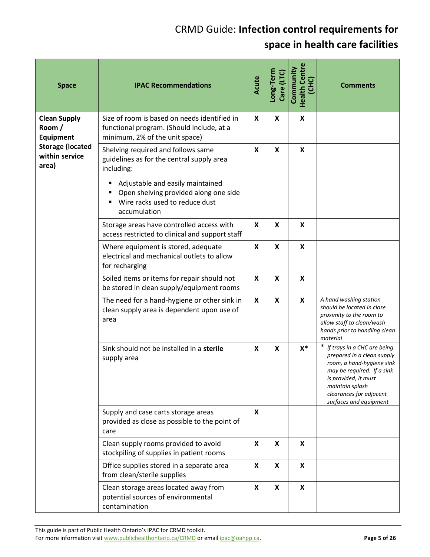| <b>Space</b>                                                                                           | <b>IPAC Recommendations</b>                                                                                                                                                                                                       | Acute                     | Long-Term<br>Care (LTC)   | <b>Health Centre</b><br>Community<br>(CHC) | <b>Comments</b>                                                                                                                                                                                                        |
|--------------------------------------------------------------------------------------------------------|-----------------------------------------------------------------------------------------------------------------------------------------------------------------------------------------------------------------------------------|---------------------------|---------------------------|--------------------------------------------|------------------------------------------------------------------------------------------------------------------------------------------------------------------------------------------------------------------------|
| <b>Clean Supply</b><br>Room/<br><b>Equipment</b><br><b>Storage (located</b><br>within service<br>area) | Size of room is based on needs identified in<br>functional program. (Should include, at a<br>minimum, 2% of the unit space)                                                                                                       | X                         | X                         | X                                          |                                                                                                                                                                                                                        |
|                                                                                                        | Shelving required and follows same<br>guidelines as for the central supply area<br>including:<br>Adjustable and easily maintained<br>٠<br>Open shelving provided along one side<br>Wire racks used to reduce dust<br>accumulation | X                         | X                         | X                                          |                                                                                                                                                                                                                        |
|                                                                                                        | Storage areas have controlled access with<br>access restricted to clinical and support staff                                                                                                                                      | X                         | X                         | X                                          |                                                                                                                                                                                                                        |
|                                                                                                        | Where equipment is stored, adequate<br>electrical and mechanical outlets to allow<br>for recharging                                                                                                                               | $\boldsymbol{\mathsf{x}}$ | $\boldsymbol{\mathsf{x}}$ | $\mathsf{x}$                               |                                                                                                                                                                                                                        |
|                                                                                                        | Soiled items or items for repair should not<br>be stored in clean supply/equipment rooms                                                                                                                                          | X                         | X                         | $\boldsymbol{\mathsf{x}}$                  |                                                                                                                                                                                                                        |
|                                                                                                        | The need for a hand-hygiene or other sink in<br>clean supply area is dependent upon use of<br>area                                                                                                                                | X                         | X                         | X                                          | A hand washing station<br>should be located in close<br>proximity to the room to<br>allow staff to clean/wash<br>hands prior to handling clean<br>material                                                             |
|                                                                                                        | Sink should not be installed in a sterile<br>supply area                                                                                                                                                                          | X                         | X                         | $X^*$                                      | * If trays in a CHC are being<br>prepared in a clean supply<br>room, a hand-hygiene sink<br>may be required. If a sink<br>is provided, it must<br>maintain splash<br>clearances for adjacent<br>surfaces and equipment |
|                                                                                                        | Supply and case carts storage areas<br>provided as close as possible to the point of<br>care                                                                                                                                      | X                         |                           |                                            |                                                                                                                                                                                                                        |
|                                                                                                        | Clean supply rooms provided to avoid<br>stockpiling of supplies in patient rooms                                                                                                                                                  | X                         | X                         | X                                          |                                                                                                                                                                                                                        |
|                                                                                                        | Office supplies stored in a separate area<br>from clean/sterile supplies                                                                                                                                                          | X                         | X                         | X                                          |                                                                                                                                                                                                                        |
|                                                                                                        | Clean storage areas located away from<br>potential sources of environmental<br>contamination                                                                                                                                      | X                         | X                         | $\boldsymbol{x}$                           |                                                                                                                                                                                                                        |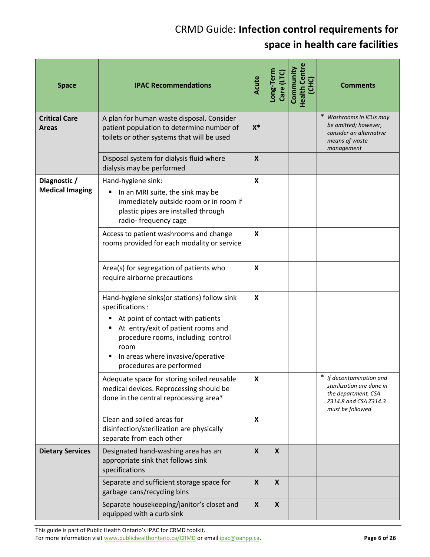| <b>Space</b>                           | <b>IPAC Recommendations</b>                                                                                                                                                                                                                               | Acute        | Long-Term<br>Care (LTC) | <b>Health Centre</b><br>Community | <b>Comments</b>                                                                                                              |
|----------------------------------------|-----------------------------------------------------------------------------------------------------------------------------------------------------------------------------------------------------------------------------------------------------------|--------------|-------------------------|-----------------------------------|------------------------------------------------------------------------------------------------------------------------------|
| <b>Critical Care</b><br><b>Areas</b>   | A plan for human waste disposal. Consider<br>patient population to determine number of<br>toilets or other systems that will be used                                                                                                                      | $X^*$        |                         |                                   | Washrooms in ICUs may<br>be omitted; however,<br>consider an alternative<br>means of waste<br>management                     |
|                                        | Disposal system for dialysis fluid where<br>dialysis may be performed                                                                                                                                                                                     | X            |                         |                                   |                                                                                                                              |
| Diagnostic /<br><b>Medical Imaging</b> | Hand-hygiene sink:<br>In an MRI suite, the sink may be<br>٠<br>immediately outside room or in room if<br>plastic pipes are installed through<br>radio-frequency cage                                                                                      | $\mathsf{x}$ |                         |                                   |                                                                                                                              |
|                                        | Access to patient washrooms and change<br>rooms provided for each modality or service                                                                                                                                                                     | X            |                         |                                   |                                                                                                                              |
|                                        | Area(s) for segregation of patients who<br>require airborne precautions                                                                                                                                                                                   | X.           |                         |                                   |                                                                                                                              |
|                                        | Hand-hygiene sinks (or stations) follow sink<br>specifications:<br>At point of contact with patients<br>At entry/exit of patient rooms and<br>procedure rooms, including control<br>room<br>In areas where invasive/operative<br>procedures are performed | X            |                         |                                   |                                                                                                                              |
|                                        | Adequate space for storing soiled reusable<br>medical devices. Reprocessing should be<br>done in the central reprocessing area*                                                                                                                           | X            |                         |                                   | *<br>If decontamination and<br>sterilization are done in<br>the department, CSA<br>Z314.8 and CSA Z314.3<br>must be followed |
|                                        | Clean and soiled areas for<br>disinfection/sterilization are physically<br>separate from each other                                                                                                                                                       | X            |                         |                                   |                                                                                                                              |
| <b>Dietary Services</b>                | Designated hand-washing area has an<br>appropriate sink that follows sink<br>specifications                                                                                                                                                               | $\mathsf{X}$ | $\boldsymbol{X}$        |                                   |                                                                                                                              |
|                                        | Separate and sufficient storage space for<br>garbage cans/recycling bins                                                                                                                                                                                  | X            | X                       |                                   |                                                                                                                              |
|                                        | Separate housekeeping/janitor's closet and<br>equipped with a curb sink                                                                                                                                                                                   | X            | X                       |                                   |                                                                                                                              |

This guide is part of Public Health Ontario's IPAC for CRMD toolkit. For more information visit www.publichealthontario.ca/CRMD or email ipac@oahpp.ca. **Page 6 Page 6** of 26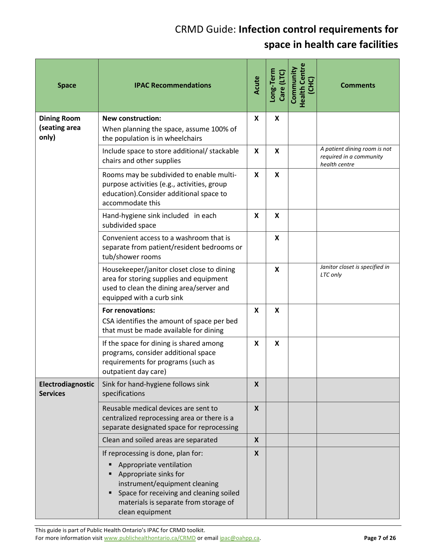| <b>Space</b>                                 | <b>IPAC Recommendations</b>                                                                                                                                                                                                    | Acute            | Long-Term<br>Care (LTC) | <b>Health Centre</b><br>Community<br>(CHC) | <b>Comments</b>                                                          |
|----------------------------------------------|--------------------------------------------------------------------------------------------------------------------------------------------------------------------------------------------------------------------------------|------------------|-------------------------|--------------------------------------------|--------------------------------------------------------------------------|
| <b>Dining Room</b><br>(seating area<br>only) | <b>New construction:</b><br>When planning the space, assume 100% of<br>the population is in wheelchairs                                                                                                                        | X                | X                       |                                            |                                                                          |
|                                              | Include space to store additional/ stackable<br>chairs and other supplies                                                                                                                                                      | X                | X                       |                                            | A patient dining room is not<br>required in a community<br>health centre |
|                                              | Rooms may be subdivided to enable multi-<br>purpose activities (e.g., activities, group<br>education). Consider additional space to<br>accommodate this                                                                        | X                | X                       |                                            |                                                                          |
|                                              | Hand-hygiene sink included in each<br>subdivided space                                                                                                                                                                         | X                | X                       |                                            |                                                                          |
|                                              | Convenient access to a washroom that is<br>separate from patient/resident bedrooms or<br>tub/shower rooms                                                                                                                      |                  | X                       |                                            |                                                                          |
|                                              | Housekeeper/janitor closet close to dining<br>area for storing supplies and equipment<br>used to clean the dining area/server and<br>equipped with a curb sink                                                                 |                  | X                       |                                            | Janitor closet is specified in<br>LTC only                               |
|                                              | For renovations:<br>CSA identifies the amount of space per bed<br>that must be made available for dining                                                                                                                       | X                | X                       |                                            |                                                                          |
|                                              | If the space for dining is shared among<br>programs, consider additional space<br>requirements for programs (such as<br>outpatient day care)                                                                                   | X                | X                       |                                            |                                                                          |
| Electrodiagnostic<br><b>Services</b>         | Sink for hand-hygiene follows sink<br>specifications                                                                                                                                                                           | $\boldsymbol{x}$ |                         |                                            |                                                                          |
|                                              | Reusable medical devices are sent to<br>centralized reprocessing area or there is a<br>separate designated space for reprocessing                                                                                              | $\mathsf{x}$     |                         |                                            |                                                                          |
|                                              | Clean and soiled areas are separated                                                                                                                                                                                           | X                |                         |                                            |                                                                          |
|                                              | If reprocessing is done, plan for:<br>Appropriate ventilation<br>Appropriate sinks for<br>instrument/equipment cleaning<br>Space for receiving and cleaning soiled<br>materials is separate from storage of<br>clean equipment | X                |                         |                                            |                                                                          |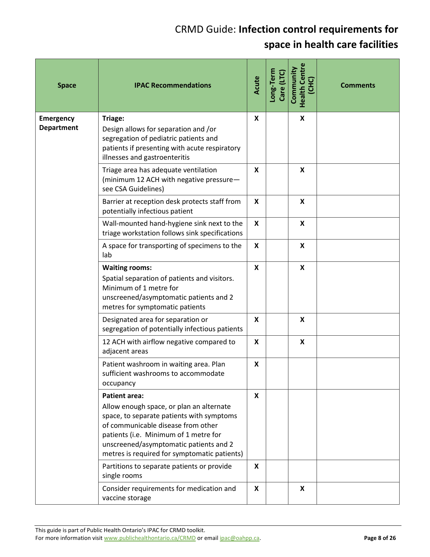| <b>Space</b>                          | <b>IPAC Recommendations</b>                                                                                                                                                                                                                                                            | Acute            | Long-Term<br>Care (LTC) | <b>Health Centre</b><br>Community<br>(CHC) | <b>Comments</b> |
|---------------------------------------|----------------------------------------------------------------------------------------------------------------------------------------------------------------------------------------------------------------------------------------------------------------------------------------|------------------|-------------------------|--------------------------------------------|-----------------|
| <b>Emergency</b><br><b>Department</b> | Triage:<br>Design allows for separation and /or<br>segregation of pediatric patients and<br>patients if presenting with acute respiratory<br>illnesses and gastroenteritis                                                                                                             | X                |                         | $\boldsymbol{\mathsf{x}}$                  |                 |
|                                       | Triage area has adequate ventilation<br>(minimum 12 ACH with negative pressure-<br>see CSA Guidelines)                                                                                                                                                                                 | X                |                         | X                                          |                 |
|                                       | Barrier at reception desk protects staff from<br>potentially infectious patient                                                                                                                                                                                                        | $\boldsymbol{x}$ |                         | $\boldsymbol{\mathsf{X}}$                  |                 |
|                                       | Wall-mounted hand-hygiene sink next to the<br>triage workstation follows sink specifications                                                                                                                                                                                           | $\mathsf{x}$     |                         | $\boldsymbol{\mathsf{x}}$                  |                 |
|                                       | A space for transporting of specimens to the<br>lab                                                                                                                                                                                                                                    | X                |                         | X                                          |                 |
|                                       | <b>Waiting rooms:</b><br>Spatial separation of patients and visitors.<br>Minimum of 1 metre for<br>unscreened/asymptomatic patients and 2<br>metres for symptomatic patients                                                                                                           | X                |                         | $\boldsymbol{\mathsf{x}}$                  |                 |
|                                       | Designated area for separation or<br>segregation of potentially infectious patients                                                                                                                                                                                                    | X                |                         | $\boldsymbol{\mathsf{X}}$                  |                 |
|                                       | 12 ACH with airflow negative compared to<br>adjacent areas                                                                                                                                                                                                                             | X                |                         | $\boldsymbol{\mathsf{x}}$                  |                 |
|                                       | Patient washroom in waiting area. Plan<br>sufficient washrooms to accommodate<br>occupancy                                                                                                                                                                                             | X                |                         |                                            |                 |
|                                       | <b>Patient area:</b><br>Allow enough space, or plan an alternate<br>space, to separate patients with symptoms<br>of communicable disease from other<br>patients (i.e. Minimum of 1 metre for<br>unscreened/asymptomatic patients and 2<br>metres is required for symptomatic patients) | $\mathsf{x}$     |                         |                                            |                 |
|                                       | Partitions to separate patients or provide<br>single rooms                                                                                                                                                                                                                             | $\mathsf{x}$     |                         |                                            |                 |
|                                       | Consider requirements for medication and<br>vaccine storage                                                                                                                                                                                                                            | X                |                         | $\boldsymbol{\mathsf{X}}$                  |                 |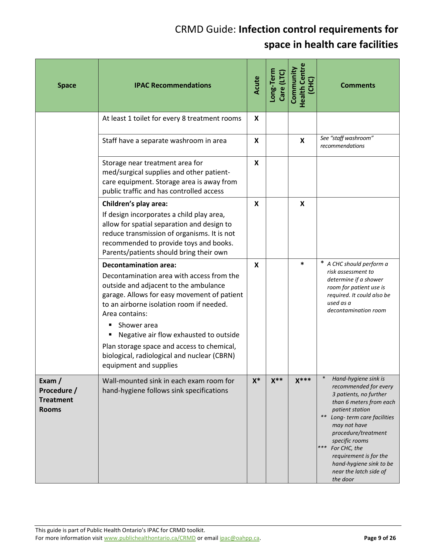| <b>Space</b>                                              | <b>IPAC Recommendations</b>                                                                                                                                                                                                                                                                                                                                                                                     | Acute          | Long-Term<br>Care (LTC) | <b>Health Centre</b><br>Community<br>(CHC) | <b>Comments</b>                                                                                                                                                                                                                                                                                                                    |
|-----------------------------------------------------------|-----------------------------------------------------------------------------------------------------------------------------------------------------------------------------------------------------------------------------------------------------------------------------------------------------------------------------------------------------------------------------------------------------------------|----------------|-------------------------|--------------------------------------------|------------------------------------------------------------------------------------------------------------------------------------------------------------------------------------------------------------------------------------------------------------------------------------------------------------------------------------|
|                                                           | At least 1 toilet for every 8 treatment rooms                                                                                                                                                                                                                                                                                                                                                                   | X              |                         |                                            |                                                                                                                                                                                                                                                                                                                                    |
|                                                           | Staff have a separate washroom in area                                                                                                                                                                                                                                                                                                                                                                          | X              |                         | X                                          | See "staff washroom"<br>recommendations                                                                                                                                                                                                                                                                                            |
|                                                           | Storage near treatment area for<br>med/surgical supplies and other patient-<br>care equipment. Storage area is away from<br>public traffic and has controlled access                                                                                                                                                                                                                                            | $\mathsf{x}$   |                         |                                            |                                                                                                                                                                                                                                                                                                                                    |
|                                                           | Children's play area:<br>If design incorporates a child play area,<br>allow for spatial separation and design to<br>reduce transmission of organisms. It is not<br>recommended to provide toys and books.<br>Parents/patients should bring their own                                                                                                                                                            | X              |                         | X                                          |                                                                                                                                                                                                                                                                                                                                    |
|                                                           | <b>Decontamination area:</b><br>Decontamination area with access from the<br>outside and adjacent to the ambulance<br>garage. Allows for easy movement of patient<br>to an airborne isolation room if needed.<br>Area contains:<br>Shower area<br>Negative air flow exhausted to outside<br>Plan storage space and access to chemical,<br>biological, radiological and nuclear (CBRN)<br>equipment and supplies | X              |                         | $\ast$                                     | * A CHC should perform a<br>risk assessment to<br>determine if a shower<br>room for patient use is<br>required. It could also be<br>used as a<br>decontamination room                                                                                                                                                              |
| Exam /<br>Procedure /<br><b>Treatment</b><br><b>Rooms</b> | Wall-mounted sink in each exam room for<br>hand-hygiene follows sink specifications                                                                                                                                                                                                                                                                                                                             | $\mathsf{X}^*$ | $X^*$                   | $X***$                                     | Hand-hygiene sink is<br>recommended for every<br>3 patients, no further<br>than 6 meters from each<br>patient station<br>** Long-term care facilities<br>may not have<br>procedure/treatment<br>specific rooms<br>$***$<br>For CHC, the<br>requirement is for the<br>hand-hygiene sink to be<br>near the latch side of<br>the door |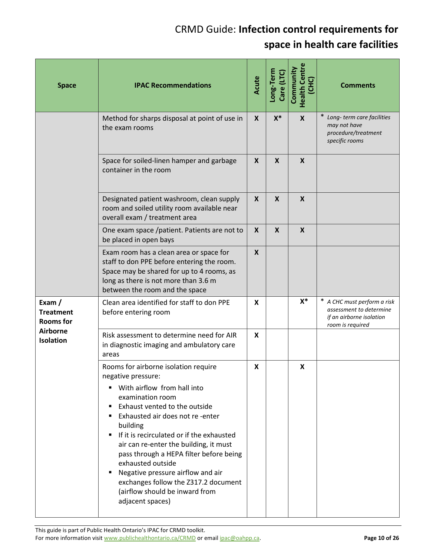| <b>Space</b>                                   | <b>IPAC Recommendations</b>                                                                                                                                                                                                                                                                                                                                                                                                                                                                                      | Acute            | Long-Term<br>Care (LTC    | <b>Health Centre</b><br>Community<br>(CHC) | <b>Comments</b>                                                                                        |
|------------------------------------------------|------------------------------------------------------------------------------------------------------------------------------------------------------------------------------------------------------------------------------------------------------------------------------------------------------------------------------------------------------------------------------------------------------------------------------------------------------------------------------------------------------------------|------------------|---------------------------|--------------------------------------------|--------------------------------------------------------------------------------------------------------|
|                                                | Method for sharps disposal at point of use in<br>the exam rooms                                                                                                                                                                                                                                                                                                                                                                                                                                                  | $\mathbf{x}$     | $X^*$                     | $\boldsymbol{X}$                           | Long-term care facilities<br>may not have<br>procedure/treatment<br>specific rooms                     |
|                                                | Space for soiled-linen hamper and garbage<br>container in the room                                                                                                                                                                                                                                                                                                                                                                                                                                               | $\mathbf{x}$     | $\boldsymbol{\mathsf{X}}$ | $\boldsymbol{X}$                           |                                                                                                        |
|                                                | Designated patient washroom, clean supply<br>room and soiled utility room available near<br>overall exam / treatment area                                                                                                                                                                                                                                                                                                                                                                                        | X                | $\boldsymbol{\mathsf{X}}$ | $\boldsymbol{X}$                           |                                                                                                        |
|                                                | One exam space /patient. Patients are not to<br>be placed in open bays                                                                                                                                                                                                                                                                                                                                                                                                                                           | X                | $\boldsymbol{\mathsf{X}}$ | $\boldsymbol{X}$                           |                                                                                                        |
|                                                | Exam room has a clean area or space for<br>staff to don PPE before entering the room.<br>Space may be shared for up to 4 rooms, as<br>long as there is not more than 3.6 m<br>between the room and the space                                                                                                                                                                                                                                                                                                     | $\boldsymbol{X}$ |                           |                                            |                                                                                                        |
| Exam /<br><b>Treatment</b><br><b>Rooms for</b> | Clean area identified for staff to don PPE<br>before entering room                                                                                                                                                                                                                                                                                                                                                                                                                                               | X                |                           | $X^*$                                      | * A CHC must perform a risk<br>assessment to determine<br>if an airborne isolation<br>room is required |
| <b>Airborne</b><br><b>Isolation</b>            | Risk assessment to determine need for AIR<br>in diagnostic imaging and ambulatory care<br>areas                                                                                                                                                                                                                                                                                                                                                                                                                  | X                |                           |                                            |                                                                                                        |
|                                                | Rooms for airborne isolation require<br>negative pressure:<br>With airflow from hall into<br>٠<br>examination room<br>Exhaust vented to the outside<br>٠<br>Exhausted air does not re-enter<br>٠<br>building<br>If it is recirculated or if the exhausted<br>٠<br>air can re-enter the building, it must<br>pass through a HEPA filter before being<br>exhausted outside<br>Negative pressure airflow and air<br>٠<br>exchanges follow the Z317.2 document<br>(airflow should be inward from<br>adjacent spaces) | X                |                           | X                                          |                                                                                                        |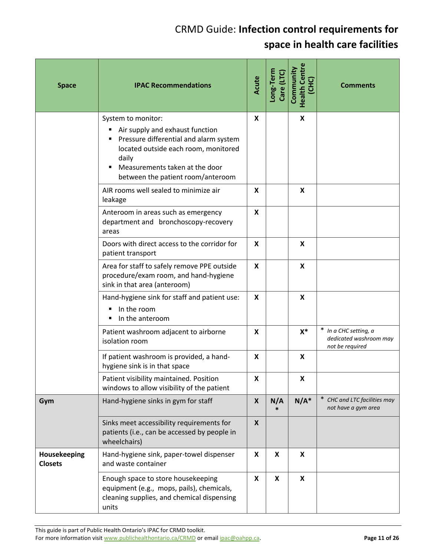| <b>Space</b>                   | <b>IPAC Recommendations</b>                                                                                                                                                                                                  | Acute | Long-Term<br>Care (LTC) | <b>Health Centre</b><br>Community<br>(CHC) | <b>Comments</b>                                                    |
|--------------------------------|------------------------------------------------------------------------------------------------------------------------------------------------------------------------------------------------------------------------------|-------|-------------------------|--------------------------------------------|--------------------------------------------------------------------|
|                                | System to monitor:<br>Air supply and exhaust function<br>п<br>Pressure differential and alarm system<br>located outside each room, monitored<br>daily<br>Measurements taken at the door<br>between the patient room/anteroom | X     |                         | X                                          |                                                                    |
|                                | AIR rooms well sealed to minimize air<br>leakage                                                                                                                                                                             | X     |                         | X                                          |                                                                    |
|                                | Anteroom in areas such as emergency<br>department and bronchoscopy-recovery<br>areas                                                                                                                                         | X     |                         |                                            |                                                                    |
|                                | Doors with direct access to the corridor for<br>patient transport                                                                                                                                                            | X     |                         | X                                          |                                                                    |
|                                | Area for staff to safely remove PPE outside<br>procedure/exam room, and hand-hygiene<br>sink in that area (anteroom)                                                                                                         | x     |                         | X                                          |                                                                    |
|                                | Hand-hygiene sink for staff and patient use:<br>In the room<br>In the anteroom                                                                                                                                               | X     |                         | X                                          |                                                                    |
|                                | Patient washroom adjacent to airborne<br>isolation room                                                                                                                                                                      | X     |                         | $X^*$                                      | * In a CHC setting, a<br>dedicated washroom may<br>not be required |
|                                | If patient washroom is provided, a hand-<br>hygiene sink is in that space                                                                                                                                                    | X     |                         | X                                          |                                                                    |
|                                | Patient visibility maintained. Position<br>windows to allow visibility of the patient                                                                                                                                        | X     |                         | X                                          |                                                                    |
| Gym                            | Hand-hygiene sinks in gym for staff                                                                                                                                                                                          | X     | N/A<br>$\ast$           | $N/A^*$                                    | CHC and LTC facilities may<br>not have a gym area                  |
|                                | Sinks meet accessibility requirements for<br>patients (i.e., can be accessed by people in<br>wheelchairs)                                                                                                                    | X     |                         |                                            |                                                                    |
| Housekeeping<br><b>Closets</b> | Hand-hygiene sink, paper-towel dispenser<br>and waste container                                                                                                                                                              | X     | X                       | $\boldsymbol{\mathsf{x}}$                  |                                                                    |
|                                | Enough space to store housekeeping<br>equipment (e.g., mops, pails), chemicals,<br>cleaning supplies, and chemical dispensing<br>units                                                                                       | X     | X                       | X                                          |                                                                    |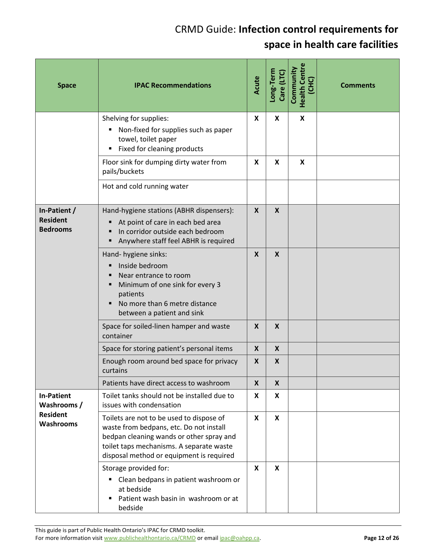| <b>Space</b>                                       | <b>IPAC Recommendations</b>                                                                                                                                                                                             | Acute                     | Long-Term<br>Care (LTC)   | <b>Health Centre</b><br>Community<br>(CHC) | <b>Comments</b> |
|----------------------------------------------------|-------------------------------------------------------------------------------------------------------------------------------------------------------------------------------------------------------------------------|---------------------------|---------------------------|--------------------------------------------|-----------------|
|                                                    | Shelving for supplies:<br>Non-fixed for supplies such as paper<br>٠<br>towel, toilet paper<br>Fixed for cleaning products                                                                                               | $\boldsymbol{\mathsf{x}}$ | $\boldsymbol{\mathsf{x}}$ | X                                          |                 |
|                                                    | Floor sink for dumping dirty water from<br>pails/buckets                                                                                                                                                                | X                         | X                         | X                                          |                 |
|                                                    | Hot and cold running water                                                                                                                                                                                              |                           |                           |                                            |                 |
| In-Patient /<br><b>Resident</b><br><b>Bedrooms</b> | Hand-hygiene stations (ABHR dispensers):<br>At point of care in each bed area<br>In corridor outside each bedroom<br>Anywhere staff feel ABHR is required                                                               | $\boldsymbol{X}$          | $\boldsymbol{X}$          |                                            |                 |
|                                                    | Hand- hygiene sinks:<br>Inside bedroom<br>Near entrance to room<br>Minimum of one sink for every 3<br>patients<br>No more than 6 metre distance<br>between a patient and sink                                           | X                         | $\boldsymbol{X}$          |                                            |                 |
|                                                    | Space for soiled-linen hamper and waste<br>container                                                                                                                                                                    | X                         | $\boldsymbol{x}$          |                                            |                 |
|                                                    | Space for storing patient's personal items                                                                                                                                                                              | $\boldsymbol{X}$          | $\boldsymbol{X}$          |                                            |                 |
|                                                    | Enough room around bed space for privacy<br>curtains                                                                                                                                                                    | X                         | X                         |                                            |                 |
|                                                    | Patients have direct access to washroom                                                                                                                                                                                 | $\boldsymbol{X}$          | $\boldsymbol{X}$          |                                            |                 |
| <b>In-Patient</b><br>Washrooms /                   | Toilet tanks should not be installed due to<br>issues with condensation                                                                                                                                                 | X                         | X                         |                                            |                 |
| <b>Resident</b><br><b>Washrooms</b>                | Toilets are not to be used to dispose of<br>waste from bedpans, etc. Do not install<br>bedpan cleaning wands or other spray and<br>toilet taps mechanisms. A separate waste<br>disposal method or equipment is required | $\boldsymbol{x}$          | X                         |                                            |                 |
|                                                    | Storage provided for:<br>Clean bedpans in patient washroom or<br>٠<br>at bedside<br>Patient wash basin in washroom or at<br>bedside                                                                                     | $\boldsymbol{x}$          | $\mathbf{x}$              |                                            |                 |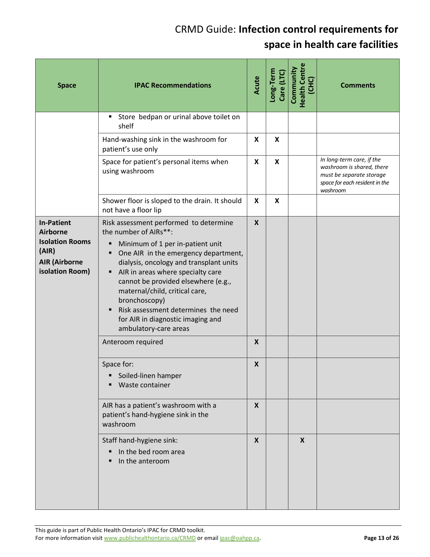| <b>Space</b>                                                                                                       | <b>IPAC Recommendations</b>                                                                                                                                                                                                                                                                                                                                                                                                                                         | Acute                                | Long-Term<br>Care (LTC) | <b>Health Centre</b><br>Community<br>(CHC) | <b>Comments</b>                                                                                                                  |
|--------------------------------------------------------------------------------------------------------------------|---------------------------------------------------------------------------------------------------------------------------------------------------------------------------------------------------------------------------------------------------------------------------------------------------------------------------------------------------------------------------------------------------------------------------------------------------------------------|--------------------------------------|-------------------------|--------------------------------------------|----------------------------------------------------------------------------------------------------------------------------------|
|                                                                                                                    | Store bedpan or urinal above toilet on<br>٠<br>shelf                                                                                                                                                                                                                                                                                                                                                                                                                |                                      |                         |                                            |                                                                                                                                  |
|                                                                                                                    | Hand-washing sink in the washroom for<br>patient's use only                                                                                                                                                                                                                                                                                                                                                                                                         | $\boldsymbol{x}$                     | $\boldsymbol{x}$        |                                            |                                                                                                                                  |
|                                                                                                                    | Space for patient's personal items when<br>using washroom                                                                                                                                                                                                                                                                                                                                                                                                           | X                                    | X                       |                                            | In long-term care, if the<br>washroom is shared, there<br>must be separate storage<br>space for each resident in the<br>washroom |
|                                                                                                                    | Shower floor is sloped to the drain. It should<br>not have a floor lip                                                                                                                                                                                                                                                                                                                                                                                              | X                                    | X                       |                                            |                                                                                                                                  |
| <b>In-Patient</b><br><b>Airborne</b><br><b>Isolation Rooms</b><br>(AIR)<br><b>AIR (Airborne</b><br>isolation Room) | Risk assessment performed to determine<br>the number of AIRs**:<br>Minimum of 1 per in-patient unit<br>٠<br>One AIR in the emergency department,<br>Ξ<br>dialysis, oncology and transplant units<br>AIR in areas where specialty care<br>٠<br>cannot be provided elsewhere (e.g.,<br>maternal/child, critical care,<br>bronchoscopy)<br>Risk assessment determines the need<br>٠<br>for AIR in diagnostic imaging and<br>ambulatory-care areas<br>Anteroom required | $\boldsymbol{X}$<br>$\boldsymbol{X}$ |                         |                                            |                                                                                                                                  |
|                                                                                                                    | Space for:<br>Soiled-linen hamper<br>Waste container                                                                                                                                                                                                                                                                                                                                                                                                                | X                                    |                         |                                            |                                                                                                                                  |
|                                                                                                                    | AIR has a patient's washroom with a<br>patient's hand-hygiene sink in the<br>washroom                                                                                                                                                                                                                                                                                                                                                                               | $\mathsf{x}$                         |                         |                                            |                                                                                                                                  |
|                                                                                                                    | Staff hand-hygiene sink:<br>In the bed room area<br>In the anteroom                                                                                                                                                                                                                                                                                                                                                                                                 | X                                    |                         | X                                          |                                                                                                                                  |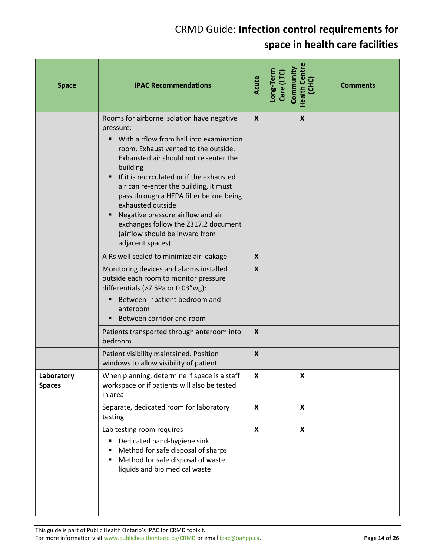| <b>Space</b>                | <b>IPAC Recommendations</b>                                                                                                                                                                                                                                                                                                                                                                                                                                                               | Acute                        | Long-Term<br>Care (LTC) | <b>Health Centre</b><br>Community<br>(CHC) | <b>Comments</b> |
|-----------------------------|-------------------------------------------------------------------------------------------------------------------------------------------------------------------------------------------------------------------------------------------------------------------------------------------------------------------------------------------------------------------------------------------------------------------------------------------------------------------------------------------|------------------------------|-------------------------|--------------------------------------------|-----------------|
|                             | Rooms for airborne isolation have negative<br>pressure:<br>With airflow from hall into examination<br>room. Exhaust vented to the outside.<br>Exhausted air should not re-enter the<br>building<br>If it is recirculated or if the exhausted<br>air can re-enter the building, it must<br>pass through a HEPA filter before being<br>exhausted outside<br>Negative pressure airflow and air<br>exchanges follow the Z317.2 document<br>(airflow should be inward from<br>adjacent spaces) | $\mathsf{X}$                 |                         | X                                          |                 |
|                             | AIRs well sealed to minimize air leakage<br>Monitoring devices and alarms installed<br>outside each room to monitor pressure<br>differentials (>7.5Pa or 0.03"wg):<br>Between inpatient bedroom and<br>п<br>anteroom<br>Between corridor and room                                                                                                                                                                                                                                         | $\mathsf{x}$<br>$\mathsf{X}$ |                         |                                            |                 |
|                             | Patients transported through anteroom into<br>bedroom                                                                                                                                                                                                                                                                                                                                                                                                                                     | X                            |                         |                                            |                 |
|                             | Patient visibility maintained. Position<br>windows to allow visibility of patient                                                                                                                                                                                                                                                                                                                                                                                                         | X                            |                         |                                            |                 |
| Laboratory<br><b>Spaces</b> | When planning, determine if space is a staff<br>workspace or if patients will also be tested<br>in area                                                                                                                                                                                                                                                                                                                                                                                   | $\pmb{\mathsf{X}}$           |                         | Χ                                          |                 |
|                             | Separate, dedicated room for laboratory<br>testing                                                                                                                                                                                                                                                                                                                                                                                                                                        | X                            |                         | X                                          |                 |
|                             | Lab testing room requires<br>Dedicated hand-hygiene sink<br>٠<br>Method for safe disposal of sharps<br>Method for safe disposal of waste<br>liquids and bio medical waste                                                                                                                                                                                                                                                                                                                 | X                            |                         | $\boldsymbol{\mathsf{X}}$                  |                 |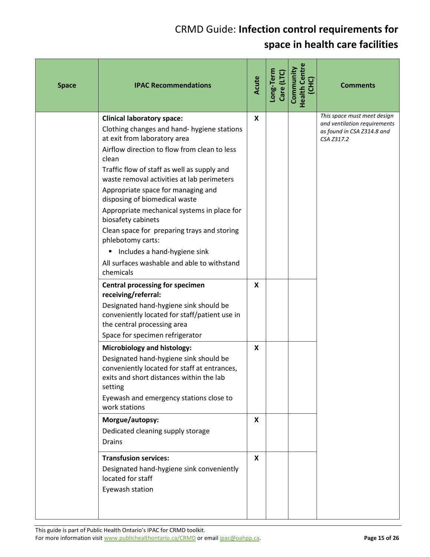| <b>Space</b> | <b>IPAC Recommendations</b>                                                                                                                                                                                                                                                                                                                                                                                                                                                                                                                                                | Acute | Long-Term<br>Care (LTC) | <b>Health Centre</b><br>Community<br>(CHC) | <b>Comments</b>                                                                                         |
|--------------|----------------------------------------------------------------------------------------------------------------------------------------------------------------------------------------------------------------------------------------------------------------------------------------------------------------------------------------------------------------------------------------------------------------------------------------------------------------------------------------------------------------------------------------------------------------------------|-------|-------------------------|--------------------------------------------|---------------------------------------------------------------------------------------------------------|
|              | <b>Clinical laboratory space:</b><br>Clothing changes and hand- hygiene stations<br>at exit from laboratory area<br>Airflow direction to flow from clean to less<br>clean<br>Traffic flow of staff as well as supply and<br>waste removal activities at lab perimeters<br>Appropriate space for managing and<br>disposing of biomedical waste<br>Appropriate mechanical systems in place for<br>biosafety cabinets<br>Clean space for preparing trays and storing<br>phlebotomy carts:<br>Includes a hand-hygiene sink<br>٠<br>All surfaces washable and able to withstand | X     |                         |                                            | This space must meet design<br>and ventilation requirements<br>as found in CSA Z314.8 and<br>CSA Z317.2 |
|              | chemicals<br><b>Central processing for specimen</b><br>receiving/referral:<br>Designated hand-hygiene sink should be<br>conveniently located for staff/patient use in<br>the central processing area<br>Space for specimen refrigerator                                                                                                                                                                                                                                                                                                                                    | X     |                         |                                            |                                                                                                         |
|              | <b>Microbiology and histology:</b><br>Designated hand-hygiene sink should be<br>conveniently located for staff at entrances,<br>exits and short distances within the lab<br>setting<br>Eyewash and emergency stations close to<br>work stations                                                                                                                                                                                                                                                                                                                            | X     |                         |                                            |                                                                                                         |
|              | Morgue/autopsy:<br>Dedicated cleaning supply storage<br><b>Drains</b>                                                                                                                                                                                                                                                                                                                                                                                                                                                                                                      | X     |                         |                                            |                                                                                                         |
|              | <b>Transfusion services:</b><br>Designated hand-hygiene sink conveniently<br>located for staff<br>Eyewash station                                                                                                                                                                                                                                                                                                                                                                                                                                                          | X     |                         |                                            |                                                                                                         |

This guide is part of Public Health Ontario's IPAC for CRMD toolkit. For more information visit www.publichealthontario.ca/CRMD or email ipac@oahpp.ca. **Page 15 Page 15** of 26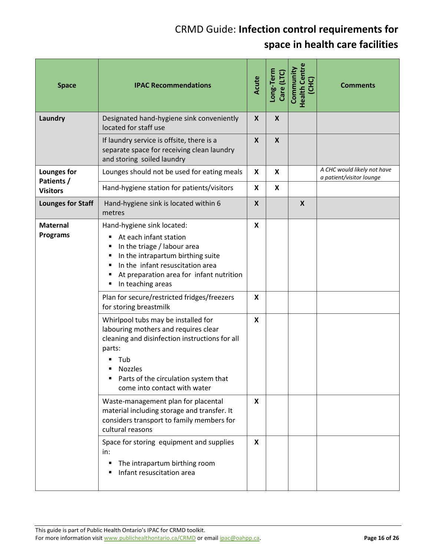| <b>Space</b>                       | <b>IPAC Recommendations</b>                                                                                                                                                                                                                   | Acute                     | Long-Term<br>Care (LTC) | <b>Health Centre</b><br>Community<br>(CHC) | <b>Comments</b>                                         |
|------------------------------------|-----------------------------------------------------------------------------------------------------------------------------------------------------------------------------------------------------------------------------------------------|---------------------------|-------------------------|--------------------------------------------|---------------------------------------------------------|
| Laundry                            | Designated hand-hygiene sink conveniently<br>located for staff use                                                                                                                                                                            | $\boldsymbol{X}$          | $\boldsymbol{X}$        |                                            |                                                         |
|                                    | If laundry service is offsite, there is a<br>separate space for receiving clean laundry<br>and storing soiled laundry                                                                                                                         | $\boldsymbol{X}$          | $\mathbf{x}$            |                                            |                                                         |
| Lounges for<br>Patients /          | Lounges should not be used for eating meals                                                                                                                                                                                                   | $\boldsymbol{\mathsf{x}}$ | X                       |                                            | A CHC would likely not have<br>a patient/visitor lounge |
| <b>Visitors</b>                    | Hand-hygiene station for patients/visitors                                                                                                                                                                                                    | X                         | X                       |                                            |                                                         |
| <b>Lounges for Staff</b>           | Hand-hygiene sink is located within 6<br>metres                                                                                                                                                                                               | X                         |                         | $\boldsymbol{X}$                           |                                                         |
| <b>Maternal</b><br><b>Programs</b> | Hand-hygiene sink located:<br>At each infant station<br>٠<br>In the triage / labour area<br>٠<br>In the intrapartum birthing suite<br>٠<br>In the infant resuscitation area<br>At preparation area for infant nutrition<br>In teaching areas  | X                         |                         |                                            |                                                         |
|                                    | Plan for secure/restricted fridges/freezers<br>for storing breastmilk                                                                                                                                                                         | X                         |                         |                                            |                                                         |
|                                    | Whirlpool tubs may be installed for<br>labouring mothers and requires clear<br>cleaning and disinfection instructions for all<br>parts:<br>Tub<br><b>Nozzles</b><br>Parts of the circulation system that<br>٠<br>come into contact with water | $\boldsymbol{x}$          |                         |                                            |                                                         |
|                                    | Waste-management plan for placental<br>material including storage and transfer. It<br>considers transport to family members for<br>cultural reasons                                                                                           | X                         |                         |                                            |                                                         |
|                                    | Space for storing equipment and supplies<br>in:<br>The intrapartum birthing room<br>٠<br>Infant resuscitation area                                                                                                                            | X                         |                         |                                            |                                                         |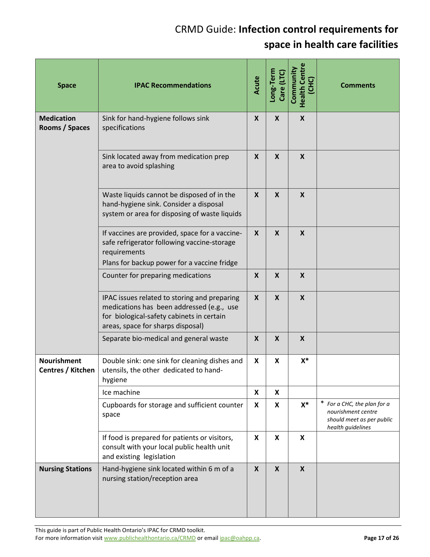| <b>Space</b>                            | <b>IPAC Recommendations</b>                                                                                                                                                 | Acute                     | Long-Term<br>Care (LTC    | <b>Health Centre</b><br>Community<br>(CHC) | <b>Comments</b>                                                                                     |
|-----------------------------------------|-----------------------------------------------------------------------------------------------------------------------------------------------------------------------------|---------------------------|---------------------------|--------------------------------------------|-----------------------------------------------------------------------------------------------------|
| <b>Medication</b><br>Rooms / Spaces     | Sink for hand-hygiene follows sink<br>specifications                                                                                                                        | $\boldsymbol{X}$          | $\boldsymbol{X}$          | $\boldsymbol{X}$                           |                                                                                                     |
|                                         | Sink located away from medication prep<br>area to avoid splashing                                                                                                           | $\boldsymbol{X}$          | $\boldsymbol{X}$          | $\boldsymbol{X}$                           |                                                                                                     |
|                                         | Waste liquids cannot be disposed of in the<br>hand-hygiene sink. Consider a disposal<br>system or area for disposing of waste liquids                                       | $\boldsymbol{X}$          | $\boldsymbol{\mathsf{X}}$ | $\boldsymbol{\mathsf{X}}$                  |                                                                                                     |
|                                         | If vaccines are provided, space for a vaccine-<br>safe refrigerator following vaccine-storage<br>requirements<br>Plans for backup power for a vaccine fridge                | $\boldsymbol{X}$          | $\mathsf{x}$              | $\boldsymbol{X}$                           |                                                                                                     |
|                                         | Counter for preparing medications                                                                                                                                           | $\boldsymbol{X}$          | $\boldsymbol{X}$          | $\boldsymbol{X}$                           |                                                                                                     |
|                                         | IPAC issues related to storing and preparing<br>medications has been addressed (e.g., use<br>for biological-safety cabinets in certain<br>areas, space for sharps disposal) | X                         | $\boldsymbol{X}$          | $\boldsymbol{X}$                           |                                                                                                     |
|                                         | Separate bio-medical and general waste                                                                                                                                      | $\boldsymbol{\mathsf{X}}$ | $\boldsymbol{\mathsf{X}}$ | $\boldsymbol{X}$                           |                                                                                                     |
| <b>Nourishment</b><br>Centres / Kitchen | Double sink: one sink for cleaning dishes and<br>utensils, the other dedicated to hand-<br>hygiene                                                                          | X                         | X                         | X*                                         |                                                                                                     |
|                                         | Ice machine                                                                                                                                                                 | X                         | X                         |                                            |                                                                                                     |
|                                         | Cupboards for storage and sufficient counter<br>space                                                                                                                       | X                         | X                         | $X^*$                                      | * For a CHC, the plan for a<br>nourishment centre<br>should meet as per public<br>health guidelines |
|                                         | If food is prepared for patients or visitors,<br>consult with your local public health unit<br>and existing legislation                                                     | $\boldsymbol{x}$          | $\boldsymbol{\mathsf{x}}$ | $\boldsymbol{\mathsf{X}}$                  |                                                                                                     |
| <b>Nursing Stations</b>                 | Hand-hygiene sink located within 6 m of a<br>nursing station/reception area                                                                                                 | $\boldsymbol{X}$          | $\boldsymbol{X}$          | $\boldsymbol{X}$                           |                                                                                                     |

This guide is part of Public Health Ontario's IPAC for CRMD toolkit.

For more information visit www.publichealthontario.ca/CRMD or email ipac@oahpp.ca. **Page 17 Page 17** of 26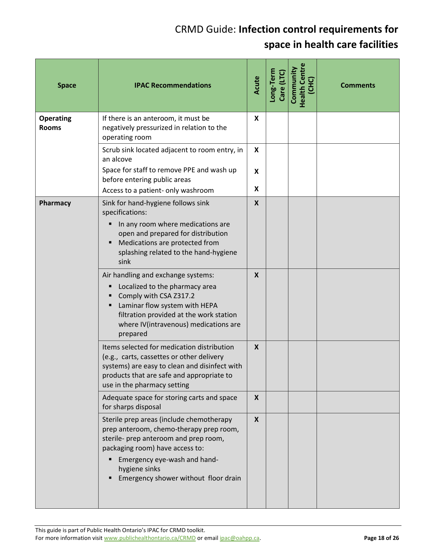| <b>Space</b>                     | <b>IPAC Recommendations</b>                                                                                                                                                                                                                              | Acute                          | Long-Term<br>Care (LTC) | <b>Health Centre</b><br>Community<br>(CHC) | <b>Comments</b> |
|----------------------------------|----------------------------------------------------------------------------------------------------------------------------------------------------------------------------------------------------------------------------------------------------------|--------------------------------|-------------------------|--------------------------------------------|-----------------|
| <b>Operating</b><br><b>Rooms</b> | If there is an anteroom, it must be<br>negatively pressurized in relation to the<br>operating room                                                                                                                                                       | X                              |                         |                                            |                 |
|                                  | Scrub sink located adjacent to room entry, in<br>an alcove                                                                                                                                                                                               | X                              |                         |                                            |                 |
|                                  | Space for staff to remove PPE and wash up<br>before entering public areas<br>Access to a patient- only washroom                                                                                                                                          | $\boldsymbol{\mathsf{x}}$<br>X |                         |                                            |                 |
| Pharmacy                         | Sink for hand-hygiene follows sink<br>specifications:                                                                                                                                                                                                    | X                              |                         |                                            |                 |
|                                  | In any room where medications are<br>open and prepared for distribution<br>Medications are protected from<br>splashing related to the hand-hygiene<br>sink                                                                                               |                                |                         |                                            |                 |
|                                  | Air handling and exchange systems:<br>Localized to the pharmacy area<br>Comply with CSA Z317.2<br>Laminar flow system with HEPA<br>filtration provided at the work station<br>where IV(intravenous) medications are<br>prepared                          | $\boldsymbol{\mathsf{X}}$      |                         |                                            |                 |
|                                  | Items selected for medication distribution<br>(e.g., carts, cassettes or other delivery<br>systems) are easy to clean and disinfect with<br>products that are safe and appropriate to<br>use in the pharmacy setting                                     | X                              |                         |                                            |                 |
|                                  | Adequate space for storing carts and space<br>for sharps disposal                                                                                                                                                                                        | X                              |                         |                                            |                 |
|                                  | Sterile prep areas (include chemotherapy<br>prep anteroom, chemo-therapy prep room,<br>sterile- prep anteroom and prep room,<br>packaging room) have access to:<br>Emergency eye-wash and hand-<br>hygiene sinks<br>Emergency shower without floor drain | $\mathsf{X}$                   |                         |                                            |                 |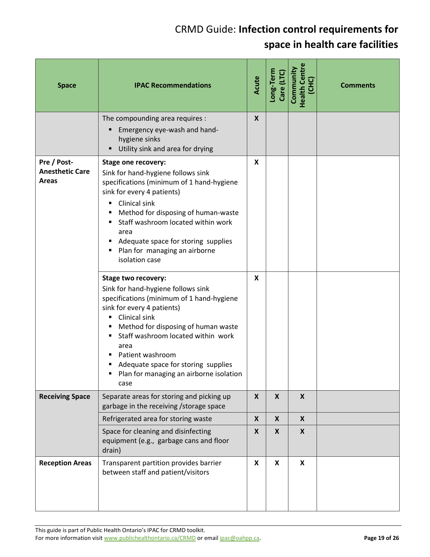| <b>Space</b>                                          | <b>IPAC Recommendations</b>                                                                                                                                                                                                                                                                                                                                                                                                                                                                                                                                                                                                                                                | Acute            | Long-Term<br>Care (LTC)   | <b>Health Centre</b><br>Community<br>(CHC) | <b>Comments</b> |
|-------------------------------------------------------|----------------------------------------------------------------------------------------------------------------------------------------------------------------------------------------------------------------------------------------------------------------------------------------------------------------------------------------------------------------------------------------------------------------------------------------------------------------------------------------------------------------------------------------------------------------------------------------------------------------------------------------------------------------------------|------------------|---------------------------|--------------------------------------------|-----------------|
|                                                       | The compounding area requires :<br>Emergency eye-wash and hand-<br>٠<br>hygiene sinks<br>Utility sink and area for drying                                                                                                                                                                                                                                                                                                                                                                                                                                                                                                                                                  | $\boldsymbol{X}$ |                           |                                            |                 |
| Pre / Post-<br><b>Anesthetic Care</b><br><b>Areas</b> | <b>Stage one recovery:</b><br>Sink for hand-hygiene follows sink<br>specifications (minimum of 1 hand-hygiene<br>sink for every 4 patients)<br>Clinical sink<br>٠<br>Method for disposing of human-waste<br>٠<br>Staff washroom located within work<br>area<br>Adequate space for storing supplies<br>Plan for managing an airborne<br>٠<br>isolation case<br><b>Stage two recovery:</b><br>Sink for hand-hygiene follows sink<br>specifications (minimum of 1 hand-hygiene<br>sink for every 4 patients)<br>Clinical sink<br>Method for disposing of human waste<br>Staff washroom located within work<br>area<br>Patient washroom<br>Adequate space for storing supplies | X<br>X           |                           |                                            |                 |
| <b>Receiving Space</b>                                | Plan for managing an airborne isolation<br>case<br>Separate areas for storing and picking up                                                                                                                                                                                                                                                                                                                                                                                                                                                                                                                                                                               | $\mathsf{X}$     | $\mathsf{X}$              | $\boldsymbol{X}$                           |                 |
|                                                       | garbage in the receiving / storage space                                                                                                                                                                                                                                                                                                                                                                                                                                                                                                                                                                                                                                   |                  |                           |                                            |                 |
|                                                       | Refrigerated area for storing waste<br>Space for cleaning and disinfecting<br>equipment (e.g., garbage cans and floor<br>drain)                                                                                                                                                                                                                                                                                                                                                                                                                                                                                                                                            | X<br>X           | X<br>X                    | X<br>X                                     |                 |
| <b>Reception Areas</b>                                | Transparent partition provides barrier<br>between staff and patient/visitors                                                                                                                                                                                                                                                                                                                                                                                                                                                                                                                                                                                               | X                | $\boldsymbol{\mathsf{X}}$ | $\boldsymbol{\mathsf{X}}$                  |                 |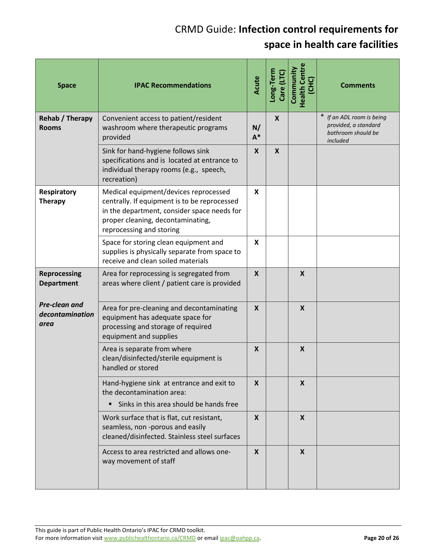| <b>Space</b>                             | <b>IPAC Recommendations</b>                                                                                                                                                                           | Acute            | Long-Term<br>Care (LTC) | <b>Health Centre</b><br>Community | <b>Comments</b>                                                                     |
|------------------------------------------|-------------------------------------------------------------------------------------------------------------------------------------------------------------------------------------------------------|------------------|-------------------------|-----------------------------------|-------------------------------------------------------------------------------------|
| Rehab / Therapy<br><b>Rooms</b>          | Convenient access to patient/resident<br>washroom where therapeutic programs<br>provided                                                                                                              | N/<br>$A^*$      | $\boldsymbol{X}$        |                                   | * If an ADL room is being<br>provided, a standard<br>bathroom should be<br>included |
|                                          | Sink for hand-hygiene follows sink<br>specifications and is located at entrance to<br>individual therapy rooms (e.g., speech,<br>recreation)                                                          | $\mathsf{x}$     | $\boldsymbol{X}$        |                                   |                                                                                     |
| Respiratory<br><b>Therapy</b>            | Medical equipment/devices reprocessed<br>centrally. If equipment is to be reprocessed<br>in the department, consider space needs for<br>proper cleaning, decontaminating,<br>reprocessing and storing | <b>X</b>         |                         |                                   |                                                                                     |
|                                          | Space for storing clean equipment and<br>supplies is physically separate from space to<br>receive and clean soiled materials                                                                          | X                |                         |                                   |                                                                                     |
| Reprocessing<br><b>Department</b>        | Area for reprocessing is segregated from<br>areas where client / patient care is provided                                                                                                             | $\mathsf{X}$     |                         | $\boldsymbol{\mathsf{X}}$         |                                                                                     |
| Pre-clean and<br>decontamination<br>area | Area for pre-cleaning and decontaminating<br>equipment has adequate space for<br>processing and storage of required<br>equipment and supplies                                                         | $\boldsymbol{X}$ |                         | $\boldsymbol{\mathsf{X}}$         |                                                                                     |
|                                          | Area is separate from where<br>clean/disinfected/sterile equipment is<br>handled or stored                                                                                                            | $\boldsymbol{X}$ |                         | $\boldsymbol{\mathsf{X}}$         |                                                                                     |
|                                          | Hand-hygiene sink at entrance and exit to<br>the decontamination area:<br>Sinks in this area should be hands free<br>٠                                                                                | $\mathbf{x}$     |                         | X                                 |                                                                                     |
|                                          | Work surface that is flat, cut resistant,<br>seamless, non -porous and easily<br>cleaned/disinfected. Stainless steel surfaces                                                                        | $\mathbf{x}$     |                         | $\boldsymbol{X}$                  |                                                                                     |
|                                          | Access to area restricted and allows one-<br>way movement of staff                                                                                                                                    | $\boldsymbol{X}$ |                         | $\boldsymbol{X}$                  |                                                                                     |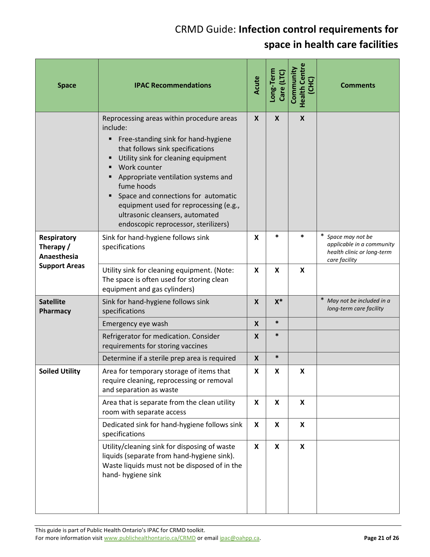| <b>Space</b>                            | <b>IPAC Recommendations</b>                                                                                                                                                                                                                                                                                                                                                                                        | Acute | Long-Term<br>Care (LTC) | <b>Health Centre</b><br>Community<br>(CHC) | <b>Comments</b>                                                                                |
|-----------------------------------------|--------------------------------------------------------------------------------------------------------------------------------------------------------------------------------------------------------------------------------------------------------------------------------------------------------------------------------------------------------------------------------------------------------------------|-------|-------------------------|--------------------------------------------|------------------------------------------------------------------------------------------------|
|                                         | Reprocessing areas within procedure areas<br>include:<br>Free-standing sink for hand-hygiene<br>Ξ<br>that follows sink specifications<br>Utility sink for cleaning equipment<br>Work counter<br>Appropriate ventilation systems and<br>fume hoods<br>Space and connections for automatic<br>٠<br>equipment used for reprocessing (e.g.,<br>ultrasonic cleansers, automated<br>endoscopic reprocessor, sterilizers) | X     | X                       | X                                          |                                                                                                |
| Respiratory<br>Therapy /<br>Anaesthesia | Sink for hand-hygiene follows sink<br>specifications                                                                                                                                                                                                                                                                                                                                                               | X     | *                       | *                                          | * Space may not be<br>applicable in a community<br>health clinic or long-term<br>care facility |
| <b>Support Areas</b>                    | Utility sink for cleaning equipment. (Note:<br>The space is often used for storing clean<br>equipment and gas cylinders)                                                                                                                                                                                                                                                                                           | X     | X                       | X                                          |                                                                                                |
| <b>Satellite</b><br>Pharmacy            | Sink for hand-hygiene follows sink<br>specifications                                                                                                                                                                                                                                                                                                                                                               | X     | $X^*$                   |                                            | * May not be included in a<br>long-term care facility                                          |
|                                         | Emergency eye wash                                                                                                                                                                                                                                                                                                                                                                                                 | X     | $\ast$                  |                                            |                                                                                                |
|                                         | Refrigerator for medication. Consider<br>requirements for storing vaccines                                                                                                                                                                                                                                                                                                                                         | X     | $\ast$                  |                                            |                                                                                                |
|                                         | Determine if a sterile prep area is required                                                                                                                                                                                                                                                                                                                                                                       | X     | $\ast$                  |                                            |                                                                                                |
| <b>Soiled Utility</b>                   | Area for temporary storage of items that<br>require cleaning, reprocessing or removal<br>and separation as waste                                                                                                                                                                                                                                                                                                   | X     | X                       | X                                          |                                                                                                |
|                                         | Area that is separate from the clean utility<br>room with separate access                                                                                                                                                                                                                                                                                                                                          | X     | X                       | X                                          |                                                                                                |
|                                         | Dedicated sink for hand-hygiene follows sink<br>specifications                                                                                                                                                                                                                                                                                                                                                     | X     | X                       | X                                          |                                                                                                |
|                                         | Utility/cleaning sink for disposing of waste<br>liquids (separate from hand-hygiene sink).<br>Waste liquids must not be disposed of in the<br>hand-hygiene sink                                                                                                                                                                                                                                                    | X     | X                       | $\pmb{\mathsf{X}}$                         |                                                                                                |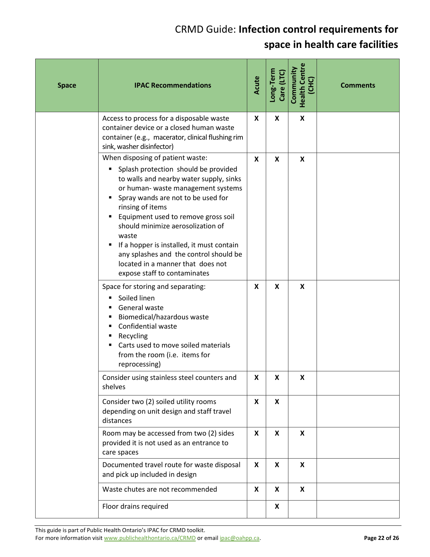| <b>Space</b> | <b>IPAC Recommendations</b>                                                                                                                                                                                                                                                                                                                                                                                                                                               | Acute | Long-Term<br>Care (LTC) | <b>Health Centre</b><br>Community<br>(CHC) | <b>Comments</b> |
|--------------|---------------------------------------------------------------------------------------------------------------------------------------------------------------------------------------------------------------------------------------------------------------------------------------------------------------------------------------------------------------------------------------------------------------------------------------------------------------------------|-------|-------------------------|--------------------------------------------|-----------------|
|              | Access to process for a disposable waste<br>container device or a closed human waste<br>container (e.g., macerator, clinical flushing rim<br>sink, washer disinfector)                                                                                                                                                                                                                                                                                                    | X     | X                       | X                                          |                 |
|              | When disposing of patient waste:<br>Splash protection should be provided<br>٠<br>to walls and nearby water supply, sinks<br>or human- waste management systems<br>Spray wands are not to be used for<br>rinsing of items<br>Equipment used to remove gross soil<br>should minimize aerosolization of<br>waste<br>If a hopper is installed, it must contain<br>any splashes and the control should be<br>located in a manner that does not<br>expose staff to contaminates | X     | X                       | X                                          |                 |
|              | Space for storing and separating:<br>Soiled linen<br>٠<br>General waste<br>Biomedical/hazardous waste<br>Confidential waste<br>Recycling<br>٠<br>Carts used to move soiled materials<br>from the room (i.e. items for<br>reprocessing)                                                                                                                                                                                                                                    | X     | X                       | $\boldsymbol{\mathsf{x}}$                  |                 |
|              | Consider using stainless steel counters and<br>shelves                                                                                                                                                                                                                                                                                                                                                                                                                    | X     | X                       | X                                          |                 |
|              | Consider two (2) soiled utility rooms<br>depending on unit design and staff travel<br>distances                                                                                                                                                                                                                                                                                                                                                                           | X     | X                       |                                            |                 |
|              | Room may be accessed from two (2) sides<br>provided it is not used as an entrance to<br>care spaces                                                                                                                                                                                                                                                                                                                                                                       | X     | X                       | X                                          |                 |
|              | Documented travel route for waste disposal<br>and pick up included in design                                                                                                                                                                                                                                                                                                                                                                                              | X     | X                       | X                                          |                 |
|              | Waste chutes are not recommended                                                                                                                                                                                                                                                                                                                                                                                                                                          | X     | X                       | $\boldsymbol{\mathsf{X}}$                  |                 |
|              | Floor drains required                                                                                                                                                                                                                                                                                                                                                                                                                                                     |       | X                       |                                            |                 |

This guide is part of Public Health Ontario's IPAC for CRMD toolkit. For more information visit www.publichealthontario.ca/CRMD or email ipac@oahpp.ca. **Page 22 of 26 Page 22 of 26**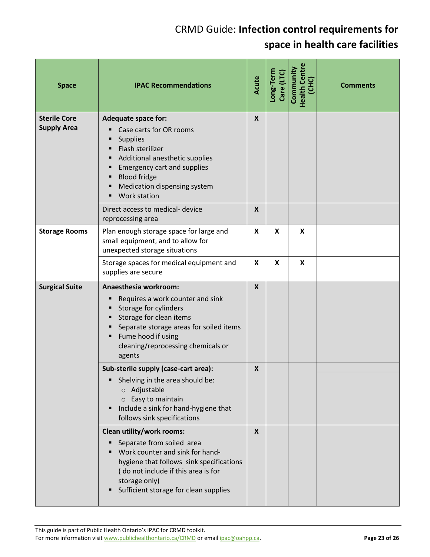| <b>Space</b>                              | <b>IPAC Recommendations</b>                                                                                                                                                                                                                                            | Acute            | Long-Term<br>Care (LTC) | <b>Health Centre</b><br>Community<br>(CHC) | <b>Comments</b> |
|-------------------------------------------|------------------------------------------------------------------------------------------------------------------------------------------------------------------------------------------------------------------------------------------------------------------------|------------------|-------------------------|--------------------------------------------|-----------------|
| <b>Sterile Core</b><br><b>Supply Area</b> | <b>Adequate space for:</b><br>Case carts for OR rooms<br><b>Supplies</b><br>Flash sterilizer<br>Additional anesthetic supplies<br>п<br><b>Emergency cart and supplies</b><br>٠<br><b>Blood fridge</b><br>٠<br>Medication dispensing system<br>п<br><b>Work station</b> | $\boldsymbol{X}$ |                         |                                            |                 |
|                                           | Direct access to medical- device<br>reprocessing area                                                                                                                                                                                                                  | $\boldsymbol{X}$ |                         |                                            |                 |
| <b>Storage Rooms</b>                      | Plan enough storage space for large and<br>small equipment, and to allow for<br>unexpected storage situations                                                                                                                                                          | $\mathsf{x}$     | X                       | X                                          |                 |
|                                           | Storage spaces for medical equipment and<br>supplies are secure                                                                                                                                                                                                        | X                | X                       | X                                          |                 |
| <b>Surgical Suite</b>                     | Anaesthesia workroom:<br>Requires a work counter and sink<br>٠<br>Storage for cylinders<br>Storage for clean items<br>Separate storage areas for soiled items<br>Fume hood if using<br>٠<br>cleaning/reprocessing chemicals or<br>agents                               | $\boldsymbol{X}$ |                         |                                            |                 |
|                                           | Sub-sterile supply (case-cart area):<br>Shelving in the area should be:<br>o Adjustable<br>Easy to maintain<br>$\circ$<br>Include a sink for hand-hygiene that<br>٠<br>follows sink specifications                                                                     | X                |                         |                                            |                 |
|                                           | Clean utility/work rooms:<br>Separate from soiled area<br>٠<br>Work counter and sink for hand-<br>hygiene that follows sink specifications<br>(do not include if this area is for<br>storage only)<br>Sufficient storage for clean supplies                            | X                |                         |                                            |                 |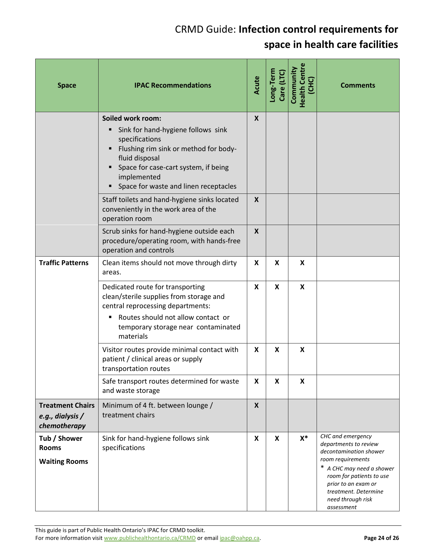| <b>Space</b>                                                | <b>IPAC Recommendations</b>                                                                                                                                                                                                                    | Acute                     | Long-Term<br>Care (LTC) | <b>Health Centre</b><br>Community<br>(CHC) | <b>Comments</b>                                                                                                                                                                                                                      |
|-------------------------------------------------------------|------------------------------------------------------------------------------------------------------------------------------------------------------------------------------------------------------------------------------------------------|---------------------------|-------------------------|--------------------------------------------|--------------------------------------------------------------------------------------------------------------------------------------------------------------------------------------------------------------------------------------|
|                                                             | Soiled work room:<br>Sink for hand-hygiene follows sink<br>specifications<br>Flushing rim sink or method for body-<br>٠<br>fluid disposal<br>Space for case-cart system, if being<br>٠<br>implemented<br>Space for waste and linen receptacles | $\boldsymbol{X}$          |                         |                                            |                                                                                                                                                                                                                                      |
|                                                             | Staff toilets and hand-hygiene sinks located<br>conveniently in the work area of the<br>operation room                                                                                                                                         | X                         |                         |                                            |                                                                                                                                                                                                                                      |
|                                                             | Scrub sinks for hand-hygiene outside each<br>procedure/operating room, with hands-free<br>operation and controls                                                                                                                               | $\mathsf{X}$              |                         |                                            |                                                                                                                                                                                                                                      |
| <b>Traffic Patterns</b>                                     | Clean items should not move through dirty<br>areas.                                                                                                                                                                                            | X                         | X                       | X                                          |                                                                                                                                                                                                                                      |
|                                                             | Dedicated route for transporting<br>clean/sterile supplies from storage and<br>central reprocessing departments:<br>Routes should not allow contact or<br>٠<br>temporary storage near contaminated<br>materials                                | X                         | X                       | X                                          |                                                                                                                                                                                                                                      |
|                                                             | Visitor routes provide minimal contact with<br>patient / clinical areas or supply<br>transportation routes                                                                                                                                     | X                         | X                       | $\boldsymbol{\mathsf{x}}$                  |                                                                                                                                                                                                                                      |
|                                                             | Safe transport routes determined for waste<br>and waste storage                                                                                                                                                                                | X                         | X                       | X                                          |                                                                                                                                                                                                                                      |
| <b>Treatment Chairs</b><br>e.g., dialysis /<br>chemotherapy | Minimum of 4 ft. between lounge /<br>treatment chairs                                                                                                                                                                                          | $\boldsymbol{X}$          |                         |                                            |                                                                                                                                                                                                                                      |
| Tub / Shower<br><b>Rooms</b><br><b>Waiting Rooms</b>        | Sink for hand-hygiene follows sink<br>specifications                                                                                                                                                                                           | $\boldsymbol{\mathsf{x}}$ | X                       | $X^*$                                      | CHC and emergency<br>departments to review<br>decontamination shower<br>room requirements<br>* A CHC may need a shower<br>room for patients to use<br>prior to an exam or<br>treatment. Determine<br>need through risk<br>assessment |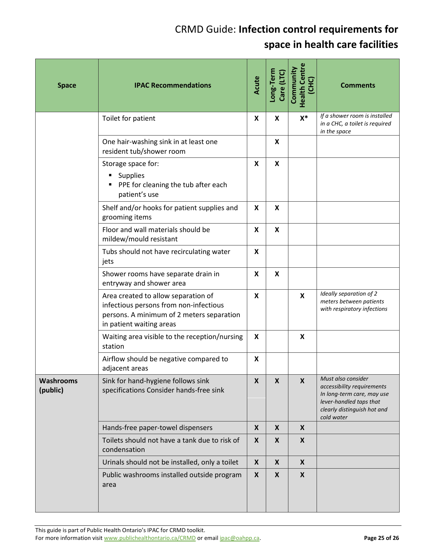| <b>Space</b>                 | <b>IPAC Recommendations</b>                                                                                                                            | Acute | Long-Term<br>Care (LTC)   | <b>Health Centre</b><br>Community<br>(CHC) | <b>Comments</b>                                                                                                                                        |
|------------------------------|--------------------------------------------------------------------------------------------------------------------------------------------------------|-------|---------------------------|--------------------------------------------|--------------------------------------------------------------------------------------------------------------------------------------------------------|
|                              | Toilet for patient                                                                                                                                     | X     | X                         | $X^*$                                      | If a shower room is installed<br>in a CHC, a toilet is required<br>in the space                                                                        |
|                              | One hair-washing sink in at least one<br>resident tub/shower room                                                                                      |       | X                         |                                            |                                                                                                                                                        |
|                              | Storage space for:<br><b>Supplies</b><br>٠<br>PPE for cleaning the tub after each<br>٠<br>patient's use                                                | X     | X                         |                                            |                                                                                                                                                        |
|                              | Shelf and/or hooks for patient supplies and<br>grooming items                                                                                          | X     | X                         |                                            |                                                                                                                                                        |
|                              | Floor and wall materials should be<br>mildew/mould resistant                                                                                           | X     | X                         |                                            |                                                                                                                                                        |
|                              | Tubs should not have recirculating water<br>jets                                                                                                       | X     |                           |                                            |                                                                                                                                                        |
|                              | Shower rooms have separate drain in<br>entryway and shower area                                                                                        | X     | $\boldsymbol{\mathsf{x}}$ |                                            |                                                                                                                                                        |
|                              | Area created to allow separation of<br>infectious persons from non-infectious<br>persons. A minimum of 2 meters separation<br>in patient waiting areas | X     |                           | $\boldsymbol{\mathsf{x}}$                  | Ideally separation of 2<br>meters between patients<br>with respiratory infections                                                                      |
|                              | Waiting area visible to the reception/nursing<br>station                                                                                               | X     |                           | $\boldsymbol{\mathsf{x}}$                  |                                                                                                                                                        |
|                              | Airflow should be negative compared to<br>adjacent areas                                                                                               | X     |                           |                                            |                                                                                                                                                        |
| <b>Washrooms</b><br>(public) | Sink for hand-hygiene follows sink<br>specifications Consider hands-free sink                                                                          | X     | $\boldsymbol{x}$          | $\boldsymbol{X}$                           | Must also consider<br>accessibility requirements<br>In long-term care, may use<br>lever-handled taps that<br>clearly distinguish hot and<br>cold water |
|                              | Hands-free paper-towel dispensers                                                                                                                      | X     | X                         | $\boldsymbol{\mathsf{X}}$                  |                                                                                                                                                        |
|                              | Toilets should not have a tank due to risk of<br>condensation                                                                                          | X     | X                         | $\boldsymbol{X}$                           |                                                                                                                                                        |
|                              | Urinals should not be installed, only a toilet                                                                                                         | X     | X                         | $\boldsymbol{\mathsf{X}}$                  |                                                                                                                                                        |
|                              | Public washrooms installed outside program<br>area                                                                                                     | X     | X                         | $\boldsymbol{X}$                           |                                                                                                                                                        |